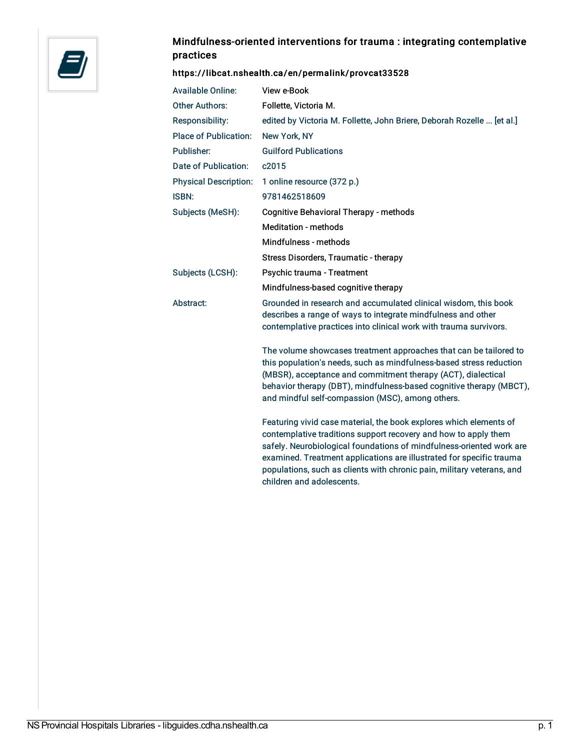

## Mindfulness-oriented interventions for trauma : integrating contemplative practices

## <https://libcat.nshealth.ca/en/permalink/provcat33528>

| <b>Available Online:</b>     | View e-Book                                                                                                                                                                                                                                                                                                                                                     |
|------------------------------|-----------------------------------------------------------------------------------------------------------------------------------------------------------------------------------------------------------------------------------------------------------------------------------------------------------------------------------------------------------------|
| <b>Other Authors:</b>        | Follette, Victoria M.                                                                                                                                                                                                                                                                                                                                           |
| Responsibility:              | edited by Victoria M. Follette, John Briere, Deborah Rozelle  [et al.]                                                                                                                                                                                                                                                                                          |
| <b>Place of Publication:</b> | New York, NY                                                                                                                                                                                                                                                                                                                                                    |
| Publisher:                   | <b>Guilford Publications</b>                                                                                                                                                                                                                                                                                                                                    |
| Date of Publication:         | c2015                                                                                                                                                                                                                                                                                                                                                           |
| <b>Physical Description:</b> | 1 online resource (372 p.)                                                                                                                                                                                                                                                                                                                                      |
| ISBN:                        | 9781462518609                                                                                                                                                                                                                                                                                                                                                   |
| Subjects (MeSH):             | <b>Cognitive Behavioral Therapy - methods</b>                                                                                                                                                                                                                                                                                                                   |
|                              | <b>Meditation - methods</b>                                                                                                                                                                                                                                                                                                                                     |
|                              | Mindfulness - methods                                                                                                                                                                                                                                                                                                                                           |
|                              | Stress Disorders, Traumatic - therapy                                                                                                                                                                                                                                                                                                                           |
| Subjects (LCSH):             | Psychic trauma - Treatment                                                                                                                                                                                                                                                                                                                                      |
|                              | Mindfulness-based cognitive therapy                                                                                                                                                                                                                                                                                                                             |
| Abstract:                    | Grounded in research and accumulated clinical wisdom, this book<br>describes a range of ways to integrate mindfulness and other<br>contemplative practices into clinical work with trauma survivors.                                                                                                                                                            |
|                              | The volume showcases treatment approaches that can be tailored to<br>this population's needs, such as mindfulness-based stress reduction<br>(MBSR), acceptance and commitment therapy (ACT), dialectical<br>behavior therapy (DBT), mindfulness-based cognitive therapy (MBCT),<br>and mindful self-compassion (MSC), among others.                             |
|                              | Featuring vivid case material, the book explores which elements of<br>contemplative traditions support recovery and how to apply them<br>safely. Neurobiological foundations of mindfulness-oriented work are<br>examined. Treatment applications are illustrated for specific trauma<br>populations, such as clients with chronic pain, military veterans, and |

children and adolescents.